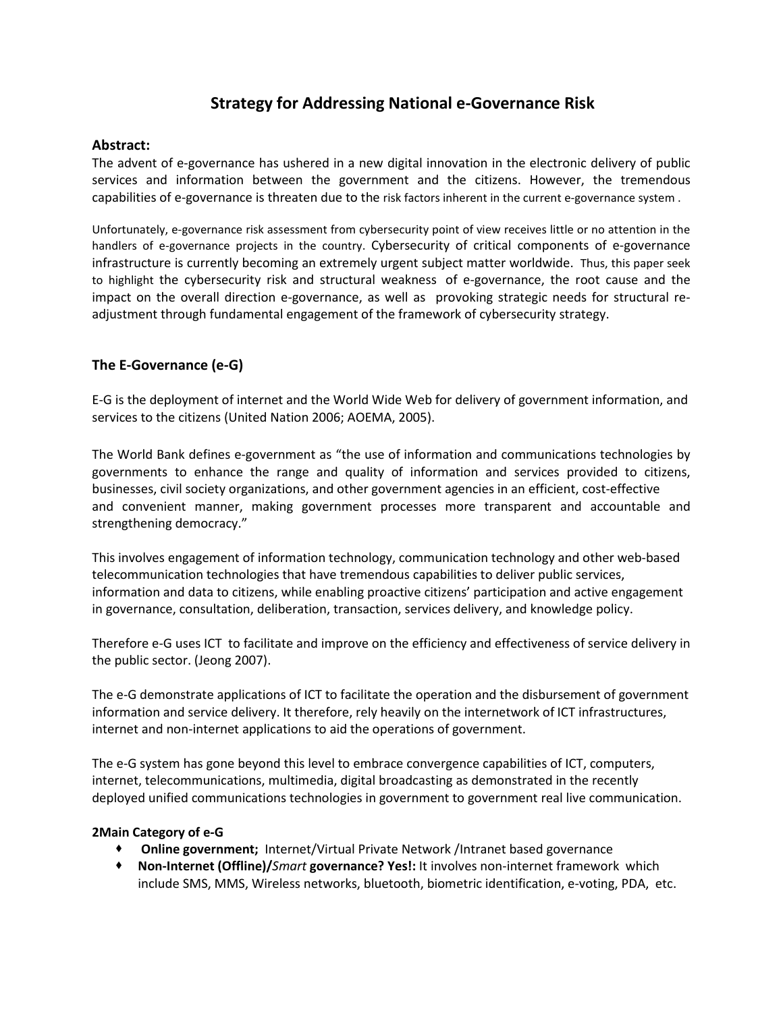# **Strategy for Addressing National e-Governance Risk**

## **Abstract:**

The advent of e-governance has ushered in a new digital innovation in the electronic delivery of public services and information between the government and the citizens. However, the tremendous capabilities of e-governance is threaten due to the risk factors inherent in the current e-governance system .

Unfortunately, e-governance risk assessment from cybersecurity point of view receives little or no attention in the handlers of e-governance projects in the country. Cybersecurity of critical components of e-governance infrastructure is currently becoming an extremely urgent subject matter worldwide. Thus, this paper seek to highlight the cybersecurity risk and structural weakness of e-governance, the root cause and the impact on the overall direction e-governance, as well as provoking strategic needs for structural readjustment through fundamental engagement of the framework of cybersecurity strategy.

## **The E-Governance (e-G)**

E-G is the deployment of internet and the World Wide Web for delivery of government information, and services to the citizens (United Nation 2006; AOEMA, 2005).

The World Bank defines e-government as "the use of information and communications technologies by governments to enhance the range and quality of information and services provided to citizens, businesses, civil society organizations, and other government agencies in an efficient, cost-effective and convenient manner, making government processes more transparent and accountable and strengthening democracy."

This involves engagement of information technology, communication technology and other web-based telecommunication technologies that have tremendous capabilities to deliver public services, information and data to citizens, while enabling proactive citizens' participation and active engagement in governance, consultation, deliberation, transaction, services delivery, and knowledge policy.

Therefore e-G uses ICT to facilitate and improve on the efficiency and effectiveness of service delivery in the public sector. (Jeong 2007).

The e-G demonstrate applications of ICT to facilitate the operation and the disbursement of government information and service delivery. It therefore, rely heavily on the internetwork of ICT infrastructures, internet and non-internet applications to aid the operations of government.

The e-G system has gone beyond this level to embrace convergence capabilities of ICT, computers, internet, telecommunications, multimedia, digital broadcasting as demonstrated in the recently deployed unified communications technologies in government to government real live communication.

#### **2Main Category of e-G**

- **Online government;** Internet/Virtual Private Network /Intranet based governance
- **Non-Internet (Offline)/***Smart* **governance? Yes!:** It involves non-internet framework which include SMS, MMS, Wireless networks, bluetooth, biometric identification, e-voting, PDA, etc.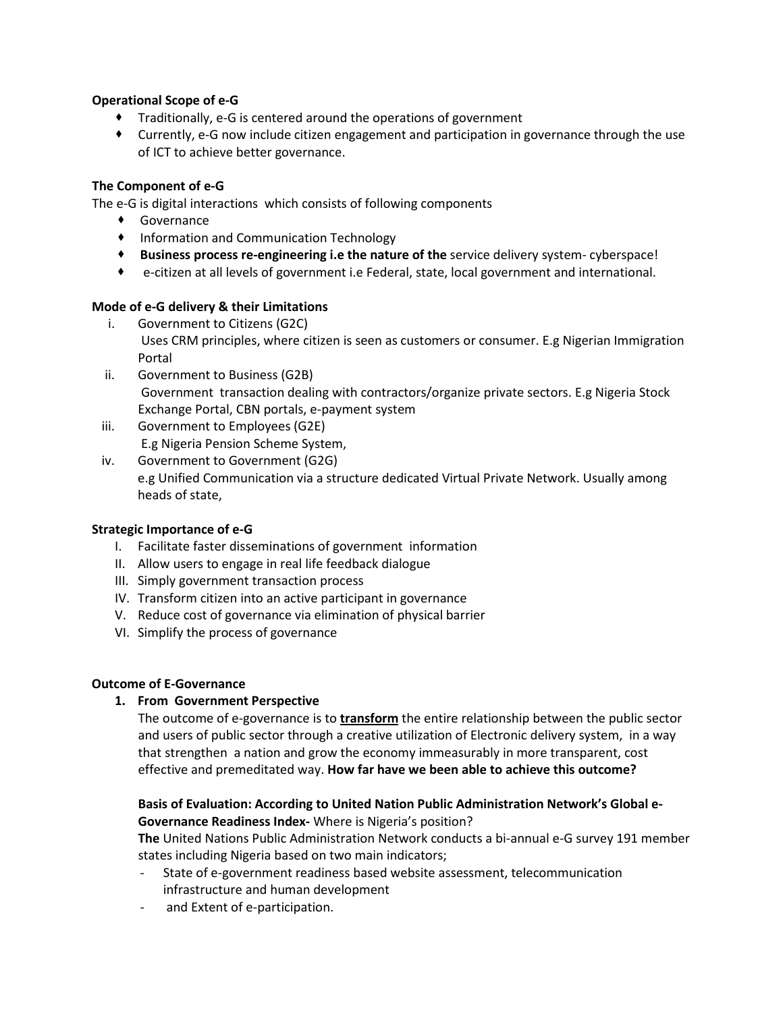### **Operational Scope of e-G**

- Traditionally, e-G is centered around the operations of government
- Currently, e-G now include citizen engagement and participation in governance through the use of ICT to achieve better governance.

## **The Component of e-G**

The e-G is digital interactions which consists of following components

- Governance
- Information and Communication Technology
- **Business process re-engineering i.e the nature of the** service delivery system- cyberspace!
- e-citizen at all levels of government i.e Federal, state, local government and international.

## **Mode of e-G delivery & their Limitations**

- i. Government to Citizens (G2C) Uses CRM principles, where citizen is seen as customers or consumer. E.g Nigerian Immigration Portal
- ii. Government to Business (G2B) Government transaction dealing with contractors/organize private sectors. E.g Nigeria Stock Exchange Portal, CBN portals, e-payment system
- iii. Government to Employees (G2E) E.g Nigeria Pension Scheme System,
- iv. Government to Government (G2G) e.g Unified Communication via a structure dedicated Virtual Private Network. Usually among heads of state,

#### **Strategic Importance of e-G**

- I. Facilitate faster disseminations of government information
- II. Allow users to engage in real life feedback dialogue
- III. Simply government transaction process
- IV. Transform citizen into an active participant in governance
- V. Reduce cost of governance via elimination of physical barrier
- VI. Simplify the process of governance

#### **Outcome of E-Governance**

#### **1. From Government Perspective**

The outcome of e-governance is to **transform** the entire relationship between the public sector and users of public sector through a creative utilization of Electronic delivery system, in a way that strengthen a nation and grow the economy immeasurably in more transparent, cost effective and premeditated way. **How far have we been able to achieve this outcome?**

### **Basis of Evaluation: According to United Nation Public Administration Network's Global e-Governance Readiness Index-** Where is Nigeria's position?

**The** United Nations Public Administration Network conducts a bi-annual e-G survey 191 member states including Nigeria based on two main indicators;

- State of e-government readiness based website assessment, telecommunication infrastructure and human development
- and Extent of e-participation.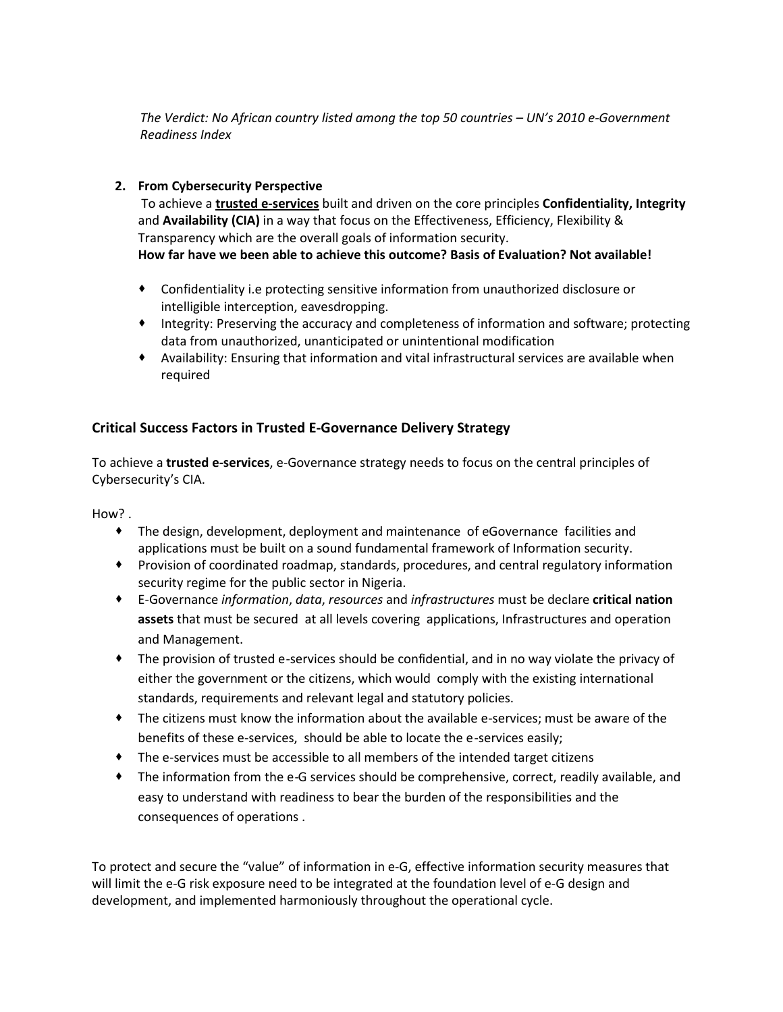*The Verdict: No African country listed among the top 50 countries – UN's 2010 e-Government Readiness Index*

## **2. From Cybersecurity Perspective**

To achieve a **trusted e-services** built and driven on the core principles **Confidentiality, Integrity** and **Availability (CIA)** in a way that focus on the Effectiveness, Efficiency, Flexibility & Transparency which are the overall goals of information security.

**How far have we been able to achieve this outcome? Basis of Evaluation? Not available!**

- Confidentiality i.e protecting sensitive information from unauthorized disclosure or intelligible interception, eavesdropping.
- Integrity: Preserving the accuracy and completeness of information and software; protecting data from unauthorized, unanticipated or unintentional modification
- Availability: Ensuring that information and vital infrastructural services are available when required

## **Critical Success Factors in Trusted E-Governance Delivery Strategy**

To achieve a **trusted e-services**, e-Governance strategy needs to focus on the central principles of Cybersecurity's CIA.

How? .

- The design, development, deployment and maintenance of eGovernance facilities and applications must be built on a sound fundamental framework of Information security.
- Provision of coordinated roadmap, standards, procedures, and central regulatory information security regime for the public sector in Nigeria.
- E-Governance *information*, *data*, *resources* and *infrastructures* must be declare **critical nation assets** that must be secured at all levels covering applications, Infrastructures and operation and Management.
- The provision of trusted e-services should be confidential, and in no way violate the privacy of either the government or the citizens, which would comply with the existing international standards, requirements and relevant legal and statutory policies.
- The citizens must know the information about the available e-services; must be aware of the benefits of these e-services, should be able to locate the e-services easily;
- The e-services must be accessible to all members of the intended target citizens
- The information from the e-G services should be comprehensive, correct, readily available, and easy to understand with readiness to bear the burden of the responsibilities and the consequences of operations .

To protect and secure the "value" of information in e-G, effective information security measures that will limit the e-G risk exposure need to be integrated at the foundation level of e-G design and development, and implemented harmoniously throughout the operational cycle.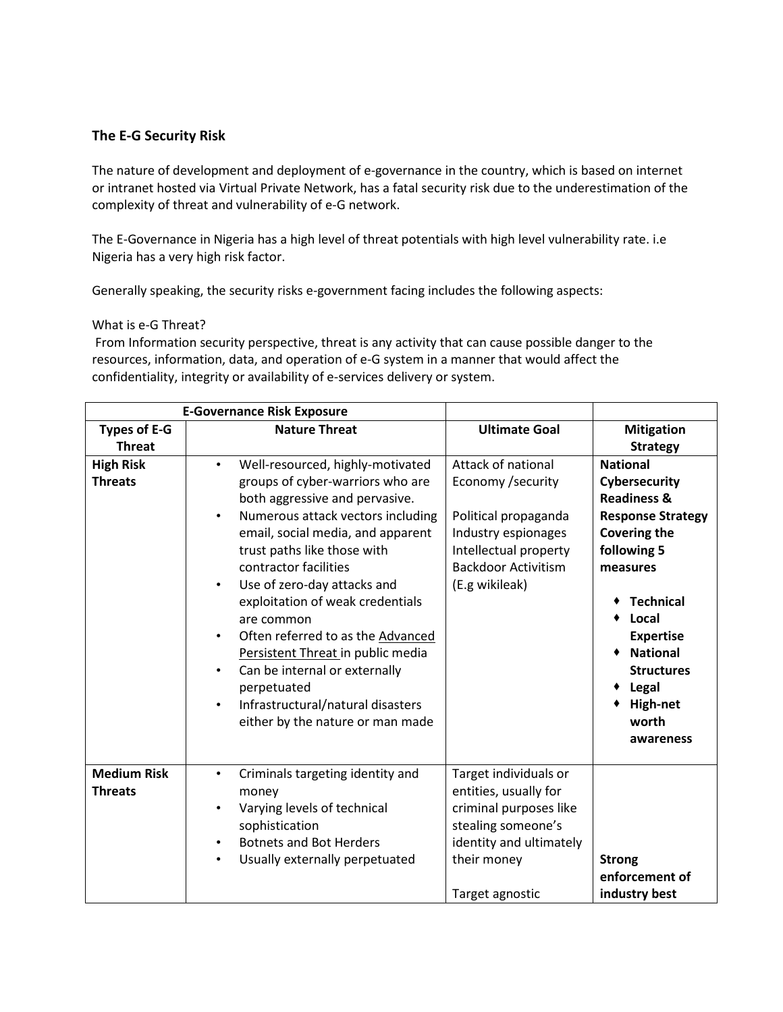## **The E-G Security Risk**

The nature of development and deployment of e-governance in the country, which is based on internet or intranet hosted via Virtual Private Network, has a fatal security risk due to the underestimation of the complexity of threat and vulnerability of e-G network.

The E-Governance in Nigeria has a high level of threat potentials with high level vulnerability rate. i.e Nigeria has a very high risk factor.

Generally speaking, the security risks e-government facing includes the following aspects:

#### What is e-G Threat?

From Information security perspective, threat is any activity that can cause possible danger to the resources, information, data, and operation of e-G system in a manner that would affect the confidentiality, integrity or availability of e-services delivery or system.

| <b>E-Governance Risk Exposure</b>    |                                                                                                                                                                                                                                                                                                                                                                                                                                                                                                                                                                                                            |                                                                                                                                                                  |                                                                                                                                                                                                                                                                                     |
|--------------------------------------|------------------------------------------------------------------------------------------------------------------------------------------------------------------------------------------------------------------------------------------------------------------------------------------------------------------------------------------------------------------------------------------------------------------------------------------------------------------------------------------------------------------------------------------------------------------------------------------------------------|------------------------------------------------------------------------------------------------------------------------------------------------------------------|-------------------------------------------------------------------------------------------------------------------------------------------------------------------------------------------------------------------------------------------------------------------------------------|
| <b>Types of E-G</b>                  | <b>Nature Threat</b>                                                                                                                                                                                                                                                                                                                                                                                                                                                                                                                                                                                       | <b>Ultimate Goal</b>                                                                                                                                             | <b>Mitigation</b>                                                                                                                                                                                                                                                                   |
| <b>Threat</b>                        |                                                                                                                                                                                                                                                                                                                                                                                                                                                                                                                                                                                                            |                                                                                                                                                                  | <b>Strategy</b>                                                                                                                                                                                                                                                                     |
| <b>High Risk</b><br><b>Threats</b>   | Well-resourced, highly-motivated<br>$\bullet$<br>groups of cyber-warriors who are<br>both aggressive and pervasive.<br>Numerous attack vectors including<br>$\bullet$<br>email, social media, and apparent<br>trust paths like those with<br>contractor facilities<br>Use of zero-day attacks and<br>$\bullet$<br>exploitation of weak credentials<br>are common<br>Often referred to as the Advanced<br>$\bullet$<br>Persistent Threat in public media<br>Can be internal or externally<br>$\bullet$<br>perpetuated<br>Infrastructural/natural disasters<br>$\bullet$<br>either by the nature or man made | Attack of national<br>Economy / security<br>Political propaganda<br>Industry espionages<br>Intellectual property<br><b>Backdoor Activitism</b><br>(E.g wikileak) | <b>National</b><br>Cybersecurity<br><b>Readiness &amp;</b><br><b>Response Strategy</b><br><b>Covering the</b><br>following 5<br>measures<br><b>Technical</b><br>Local<br><b>Expertise</b><br><b>National</b><br><b>Structures</b><br>Legal<br><b>High-net</b><br>worth<br>awareness |
| <b>Medium Risk</b><br><b>Threats</b> | Criminals targeting identity and<br>$\bullet$<br>money<br>Varying levels of technical<br>$\bullet$<br>sophistication<br><b>Botnets and Bot Herders</b><br>$\bullet$<br>Usually externally perpetuated<br>$\bullet$                                                                                                                                                                                                                                                                                                                                                                                         | Target individuals or<br>entities, usually for<br>criminal purposes like<br>stealing someone's<br>identity and ultimately<br>their money<br>Target agnostic      | <b>Strong</b><br>enforcement of<br>industry best                                                                                                                                                                                                                                    |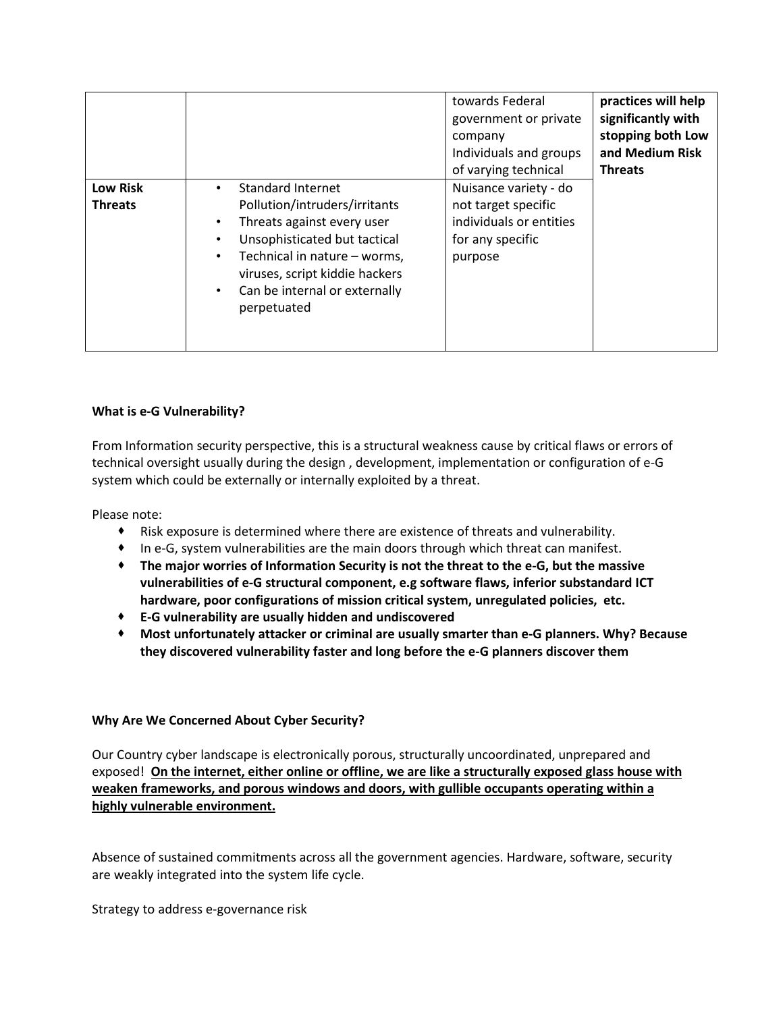|                                   |                                                                                                                                                                                                                                                              | towards Federal<br>government or private<br>company<br>Individuals and groups<br>of varying technical  | practices will help<br>significantly with<br>stopping both Low<br>and Medium Risk<br><b>Threats</b> |
|-----------------------------------|--------------------------------------------------------------------------------------------------------------------------------------------------------------------------------------------------------------------------------------------------------------|--------------------------------------------------------------------------------------------------------|-----------------------------------------------------------------------------------------------------|
| <b>Low Risk</b><br><b>Threats</b> | Standard Internet<br>Pollution/intruders/irritants<br>Threats against every user<br>Unsophisticated but tactical<br>Technical in nature - worms,<br>$\bullet$<br>viruses, script kiddie hackers<br>Can be internal or externally<br>$\bullet$<br>perpetuated | Nuisance variety - do<br>not target specific<br>individuals or entities<br>for any specific<br>purpose |                                                                                                     |

## **What is e-G Vulnerability?**

From Information security perspective, this is a structural weakness cause by critical flaws or errors of technical oversight usually during the design , development, implementation or configuration of e-G system which could be externally or internally exploited by a threat.

Please note:

- Risk exposure is determined where there are existence of threats and vulnerability.
- In e-G, system vulnerabilities are the main doors through which threat can manifest.
- **The major worries of Information Security is not the threat to the e-G, but the massive vulnerabilities of e-G structural component, e.g software flaws, inferior substandard ICT hardware, poor configurations of mission critical system, unregulated policies, etc.**
- **E-G vulnerability are usually hidden and undiscovered**
- **Most unfortunately attacker or criminal are usually smarter than e-G planners. Why? Because they discovered vulnerability faster and long before the e-G planners discover them**

#### **Why Are We Concerned About Cyber Security?**

Our Country cyber landscape is electronically porous, structurally uncoordinated, unprepared and exposed! **On the internet, either online or offline, we are like a structurally exposed glass house with weaken frameworks, and porous windows and doors, with gullible occupants operating within a highly vulnerable environment.**

Absence of sustained commitments across all the government agencies. Hardware, software, security are weakly integrated into the system life cycle.

Strategy to address e-governance risk